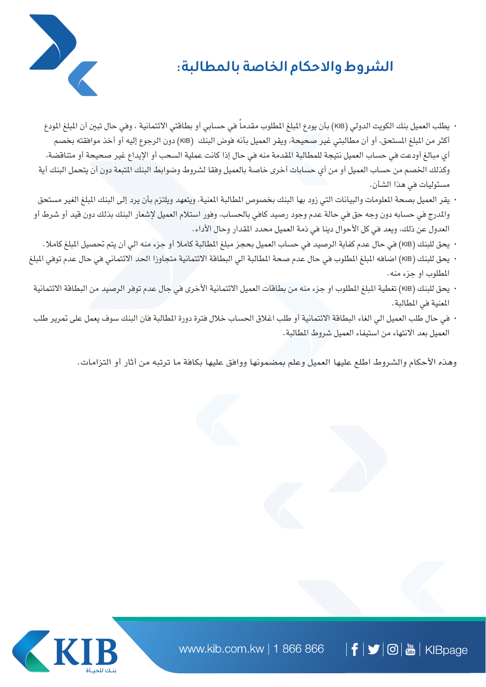## **الشروط واالحكام الخاصة بالمطالبة:**



- · يطلب العميل بنك الكويت الدولي (KIB) بأن يودع المبلغ المطلوب مقدماً في حسابي أو بطاقتي الائتمانية ، وفي حال تبين أن المبلغ المودع أكثر من المبلغ المستحق، أو أن مطالبتي غير صحيحة، ويقر العميل بأنه فوض البنك (KIB) دون الرجوع إليه أو أخذ موافقته بخصم أي مبالغ أودعت في حساب العميل نتيجة للمطالبة املقدمة منه في حال إذا كانت عملية السحب أو اإليداع غير صحيحة أو متناقضة، وكذلك الخصم من حساب العميل أو من أي حسابات أخرى خاصة بالعميل وفقا لشروط وضوابط البنك المتبعة دون أن يتحمل البنك أية مسئوليات في هذا الشأن.
- يقر العميل بصحة املعلومات والبيانات التي زود بها البنك بخصوص املطالبة املعنية، ويتعهد ويلتزم بأن يرد إلى البنك املبلغ الغير مستحق والمدرج في حسابه دون وجه حق في حالة عدم وجود رصيد كافي بالحساب، وفور استلام العميل لإشعار البنك بذلك دون قيد أو شرط أو العدول عن ذلك، ويعد في كل الأحوال دينا في ذمة العميل محدد المقدار وحال الأداء.
- يحق للبنك )KIB )في حال عدم كفاية الرصيد في حساب العميل بحجز مبلغ املطالبة كامال أو جزء منه الي أن يتم حتصيل املبلغ كامال.
- يحق للبنك )KIB )اضافه املبلغ املطلوب في حال عدم صحة املطالبة الي البطاقة االئتمانية متجاوزا احلد االئتماني في حال عدم توفي املبلغ املطلوب او جزء منه.
- يحق للبنك )KIB )تغطية املبلغ املطلوب او جزء منه من بطاقات العميل االئتمانية األخرى في جال عدم توفر الرصيد من البطاقة االئتمانية املعنية في املطالبة.
- في حال طلب العميل الي الغاء البطاقة االئتمانية أو طلب اغالق احلساب خالل فترة دورة املطالبة فان البنك سوف يعمل على مترير طلب العميل بعد االنتهاء من استيفاء العميل شروط املطالبة.

وهذه الأحكام والشروط اطلع عليها العميل وعلم بمضمونها ووافق عليها بكافة ما ترتبه من أثار أو التزامات.

www.kib.com.kw | 1 866 866  $|\bm{\mathsf{f}}|$   $\bm{\mathsf{y}}$   $|\bm{\mathsf{\odot}}|$  and  $|\bm{\mathsf{m}}|$  KIBpage